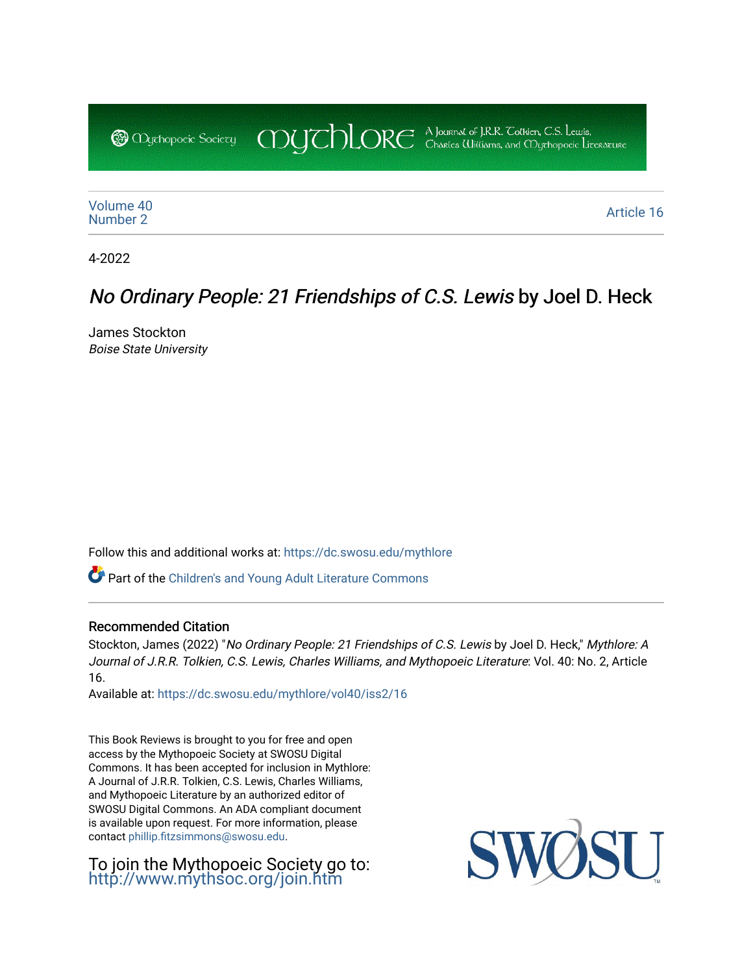COUCHORE A Journal of J.R.R. Colkien, C.S. Lewis, **@** *Oychopoeic* Sociecy

[Volume 40](https://dc.swosu.edu/mythlore/vol40)<br>Number 2 [Number 2](https://dc.swosu.edu/mythlore/vol40/iss2) Article 16<br>Number 2

4-2022

# No Ordinary People: 21 Friendships of C.S. Lewis by Joel D. Heck

James Stockton Boise State University

Follow this and additional works at: [https://dc.swosu.edu/mythlore](https://dc.swosu.edu/mythlore?utm_source=dc.swosu.edu%2Fmythlore%2Fvol40%2Fiss2%2F16&utm_medium=PDF&utm_campaign=PDFCoverPages) 

Part of the [Children's and Young Adult Literature Commons](http://network.bepress.com/hgg/discipline/1289?utm_source=dc.swosu.edu%2Fmythlore%2Fvol40%2Fiss2%2F16&utm_medium=PDF&utm_campaign=PDFCoverPages) 

#### Recommended Citation

Stockton, James (2022) "No Ordinary People: 21 Friendships of C.S. Lewis by Joel D. Heck," Mythlore: A Journal of J.R.R. Tolkien, C.S. Lewis, Charles Williams, and Mythopoeic Literature: Vol. 40: No. 2, Article 16.

Available at: [https://dc.swosu.edu/mythlore/vol40/iss2/16](https://dc.swosu.edu/mythlore/vol40/iss2/16?utm_source=dc.swosu.edu%2Fmythlore%2Fvol40%2Fiss2%2F16&utm_medium=PDF&utm_campaign=PDFCoverPages)

This Book Reviews is brought to you for free and open access by the Mythopoeic Society at SWOSU Digital Commons. It has been accepted for inclusion in Mythlore: A Journal of J.R.R. Tolkien, C.S. Lewis, Charles Williams, and Mythopoeic Literature by an authorized editor of SWOSU Digital Commons. An ADA compliant document is available upon request. For more information, please contact [phillip.fitzsimmons@swosu.edu.](mailto:phillip.fitzsimmons@swosu.edu)

To join the Mythopoeic Society go to: <http://www.mythsoc.org/join.htm>

SW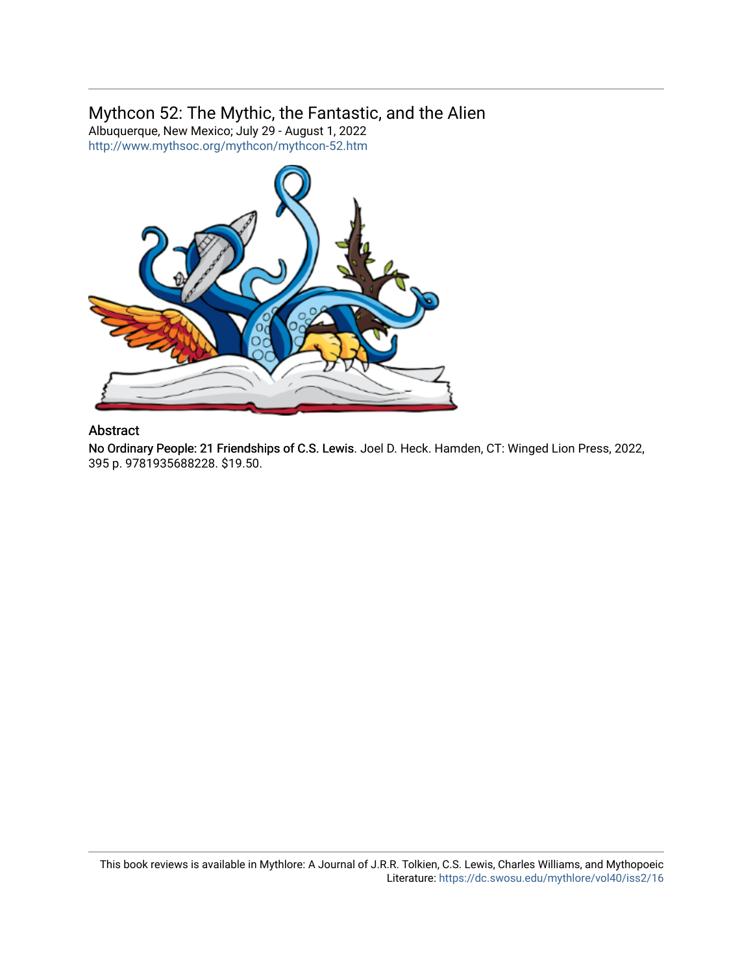## Mythcon 52: The Mythic, the Fantastic, and the Alien

Albuquerque, New Mexico; July 29 - August 1, 2022 <http://www.mythsoc.org/mythcon/mythcon-52.htm>



### Abstract

No Ordinary People: 21 Friendships of C.S. Lewis. Joel D. Heck. Hamden, CT: Winged Lion Press, 2022, 395 p. 9781935688228. \$19.50.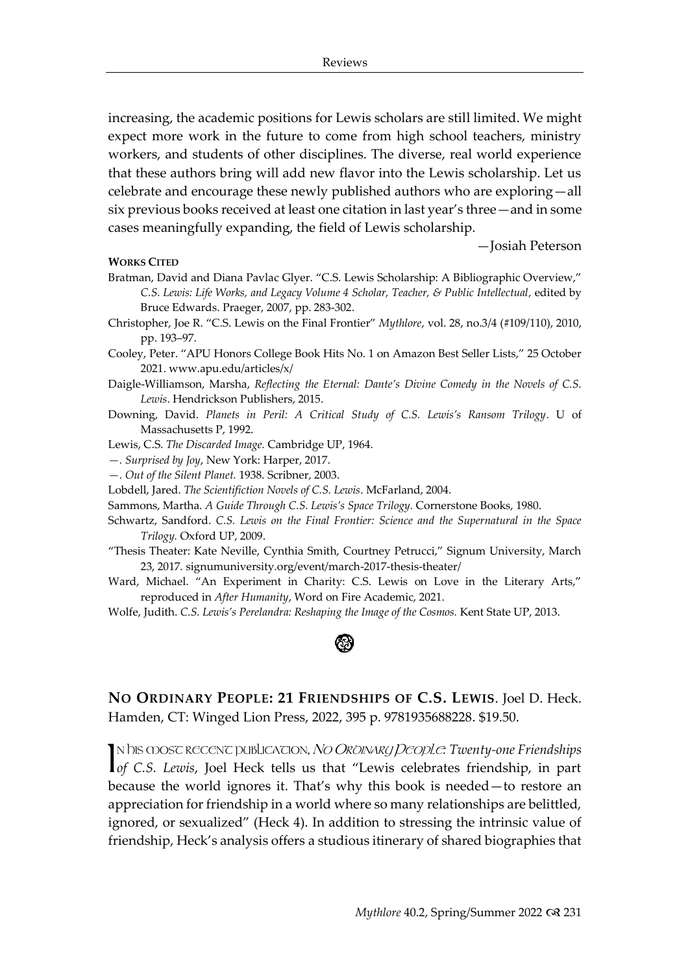increasing, the academic positions for Lewis scholars are still limited. We might expect more work in the future to come from high school teachers, ministry workers, and students of other disciplines. The diverse, real world experience that these authors bring will add new flavor into the Lewis scholarship. Let us celebrate and encourage these newly published authors who are exploring—all six previous books received at least one citation in last year's three—and in some cases meaningfully expanding, the field of Lewis scholarship.

—Josiah Peterson

**WORKS CITED**

- Bratman, David and Diana Pavlac Glyer. "C.S. Lewis Scholarship: A Bibliographic Overview," *C.S. Lewis: Life Works, and Legacy Volume 4 Scholar, Teacher, & Public Intellectual,* edited by Bruce Edwards. Praeger, 2007, pp. 283-302.
- Christopher, Joe R. "C.S. Lewis on the Final Frontier" *Mythlore*, vol. 28, no.3/4 (#109/110), 2010, pp. 193–97.
- Cooley, Peter. "APU Honors College Book Hits No. 1 on Amazon Best Seller Lists," 25 October 2021. www.apu.edu/articles/x/
- Daigle-Williamson, Marsha, *Reflecting the Eternal: Dante's Divine Comedy in the Novels of C.S. Lewis*. Hendrickson Publishers, 2015.
- Downing, David. *Planets in Peril: A Critical Study of C.S. Lewis's Ransom Trilogy*. U of Massachusetts P, 1992.
- Lewis, C.S. *The Discarded Image.* Cambridge UP, 1964.
- *—. Surprised by Joy*, New York: Harper, 2017.
- *—. Out of the Silent Planet.* 1938. Scribner, 2003.
- Lobdell, Jared. *The Scientifiction Novels of C.S. Lewis*. McFarland, 2004.
- Sammons, Martha. *A Guide Through C.S. Lewis's Space Trilogy.* Cornerstone Books, 1980.
- Schwartz, Sandford. *C.S. Lewis on the Final Frontier: Science and the Supernatural in the Space Trilogy.* Oxford UP, 2009.
- "Thesis Theater: Kate Neville, Cynthia Smith, Courtney Petrucci," Signum University, March 23, 2017. signumuniversity.org/event/march-2017-thesis-theater/
- Ward, Michael. "An Experiment in Charity: C.S. Lewis on Love in the Literary Arts," reproduced in *After Humanity*, Word on Fire Academic, 2021.
- Wolfe, Judith. *C.S. Lewis's Perelandra: Reshaping the Image of the Cosmos.* Kent State UP, 2013.

**NO ORDINARY PEOPLE: 21 FRIENDSHIPS OF C.S. LEWIS**. Joel D. Heck. Hamden, CT: Winged Lion Press, 2022, 395 p. 9781935688228. \$19.50.

IN hIS COOST RECENT PUBLICATION, NO ORDINARY PEOPLE: Twenty-one Friendships of C.S. Lewis, Joel Heck tells us that "Lewis celebrates friendship, in part *of C.S. Lewis*, Joel Heck tells us that "Lewis celebrates friendship, in part because the world ignores it. That's why this book is needed—to restore an appreciation for friendship in a world where so many relationships are belittled, ignored, or sexualized" (Heck 4). In addition to stressing the intrinsic value of friendship, Heck's analysis offers a studious itinerary of shared biographies that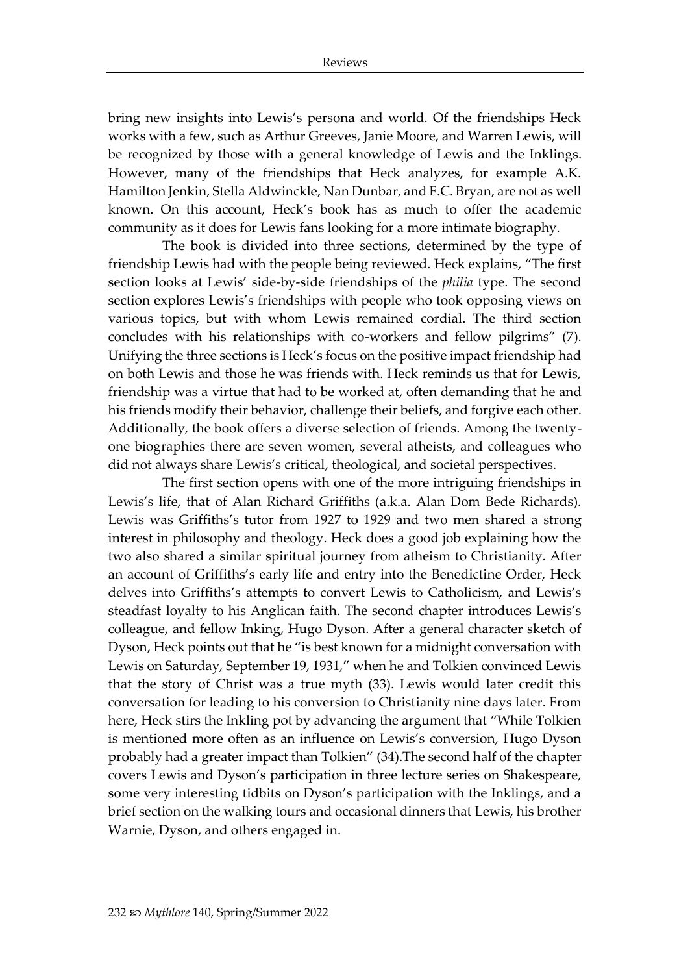bring new insights into Lewis's persona and world. Of the friendships Heck works with a few, such as Arthur Greeves, Janie Moore, and Warren Lewis, will be recognized by those with a general knowledge of Lewis and the Inklings. However, many of the friendships that Heck analyzes, for example A.K. Hamilton Jenkin, Stella Aldwinckle, Nan Dunbar, and F.C. Bryan, are not as well known. On this account, Heck's book has as much to offer the academic community as it does for Lewis fans looking for a more intimate biography.

The book is divided into three sections, determined by the type of friendship Lewis had with the people being reviewed. Heck explains, "The first section looks at Lewis' side-by-side friendships of the *philia* type. The second section explores Lewis's friendships with people who took opposing views on various topics, but with whom Lewis remained cordial. The third section concludes with his relationships with co-workers and fellow pilgrims" (7). Unifying the three sections is Heck's focus on the positive impact friendship had on both Lewis and those he was friends with. Heck reminds us that for Lewis, friendship was a virtue that had to be worked at, often demanding that he and his friends modify their behavior, challenge their beliefs, and forgive each other. Additionally, the book offers a diverse selection of friends. Among the twentyone biographies there are seven women, several atheists, and colleagues who did not always share Lewis's critical, theological, and societal perspectives.

The first section opens with one of the more intriguing friendships in Lewis's life, that of Alan Richard Griffiths (a.k.a. Alan Dom Bede Richards). Lewis was Griffiths's tutor from 1927 to 1929 and two men shared a strong interest in philosophy and theology. Heck does a good job explaining how the two also shared a similar spiritual journey from atheism to Christianity. After an account of Griffiths's early life and entry into the Benedictine Order, Heck delves into Griffiths's attempts to convert Lewis to Catholicism, and Lewis's steadfast loyalty to his Anglican faith. The second chapter introduces Lewis's colleague, and fellow Inking, Hugo Dyson. After a general character sketch of Dyson, Heck points out that he "is best known for a midnight conversation with Lewis on Saturday, September 19, 1931," when he and Tolkien convinced Lewis that the story of Christ was a true myth (33). Lewis would later credit this conversation for leading to his conversion to Christianity nine days later. From here, Heck stirs the Inkling pot by advancing the argument that "While Tolkien is mentioned more often as an influence on Lewis's conversion, Hugo Dyson probably had a greater impact than Tolkien" (34).The second half of the chapter covers Lewis and Dyson's participation in three lecture series on Shakespeare, some very interesting tidbits on Dyson's participation with the Inklings, and a brief section on the walking tours and occasional dinners that Lewis, his brother Warnie, Dyson, and others engaged in.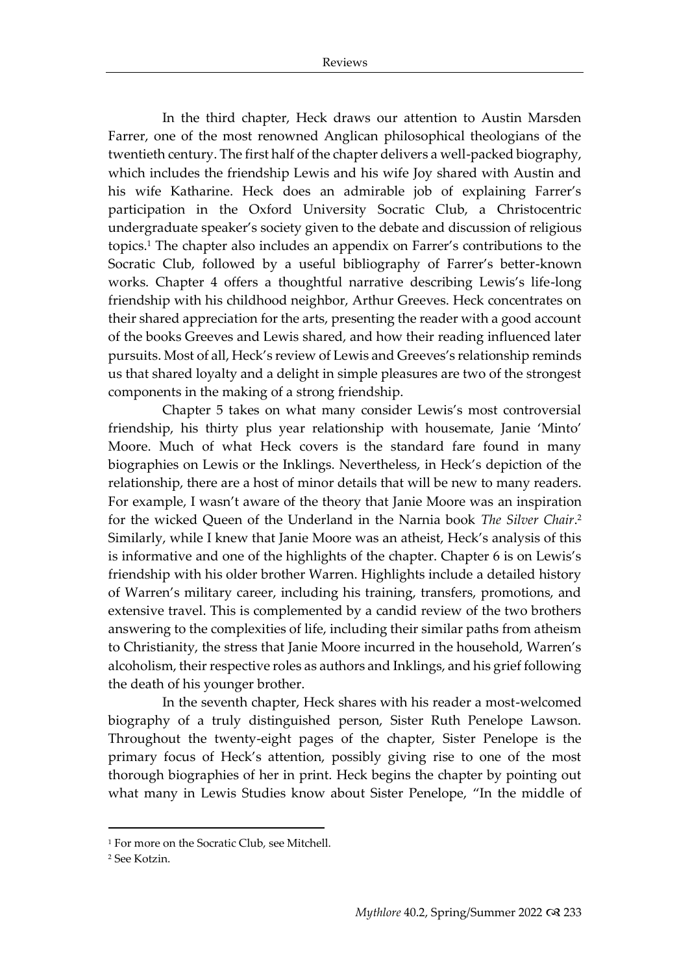In the third chapter, Heck draws our attention to Austin Marsden Farrer, one of the most renowned Anglican philosophical theologians of the twentieth century. The first half of the chapter delivers a well-packed biography, which includes the friendship Lewis and his wife Joy shared with Austin and his wife Katharine. Heck does an admirable job of explaining Farrer's participation in the Oxford University Socratic Club, a Christocentric undergraduate speaker's society given to the debate and discussion of religious topics.<sup>1</sup> The chapter also includes an appendix on Farrer's contributions to the Socratic Club, followed by a useful bibliography of Farrer's better-known works. Chapter 4 offers a thoughtful narrative describing Lewis's life-long friendship with his childhood neighbor, Arthur Greeves. Heck concentrates on their shared appreciation for the arts, presenting the reader with a good account of the books Greeves and Lewis shared, and how their reading influenced later pursuits. Most of all, Heck's review of Lewis and Greeves's relationship reminds us that shared loyalty and a delight in simple pleasures are two of the strongest components in the making of a strong friendship.

Chapter 5 takes on what many consider Lewis's most controversial friendship, his thirty plus year relationship with housemate, Janie 'Minto' Moore. Much of what Heck covers is the standard fare found in many biographies on Lewis or the Inklings. Nevertheless, in Heck's depiction of the relationship, there are a host of minor details that will be new to many readers. For example, I wasn't aware of the theory that Janie Moore was an inspiration for the wicked Queen of the Underland in the Narnia book *The Silver Chair*. 2 Similarly, while I knew that Janie Moore was an atheist, Heck's analysis of this is informative and one of the highlights of the chapter. Chapter 6 is on Lewis's friendship with his older brother Warren. Highlights include a detailed history of Warren's military career, including his training, transfers, promotions, and extensive travel. This is complemented by a candid review of the two brothers answering to the complexities of life, including their similar paths from atheism to Christianity, the stress that Janie Moore incurred in the household, Warren's alcoholism, their respective roles as authors and Inklings, and his grief following the death of his younger brother.

In the seventh chapter, Heck shares with his reader a most-welcomed biography of a truly distinguished person, Sister Ruth Penelope Lawson. Throughout the twenty-eight pages of the chapter, Sister Penelope is the primary focus of Heck's attention, possibly giving rise to one of the most thorough biographies of her in print. Heck begins the chapter by pointing out what many in Lewis Studies know about Sister Penelope, "In the middle of

<sup>1</sup> For more on the Socratic Club, see Mitchell.

<sup>2</sup> See Kotzin.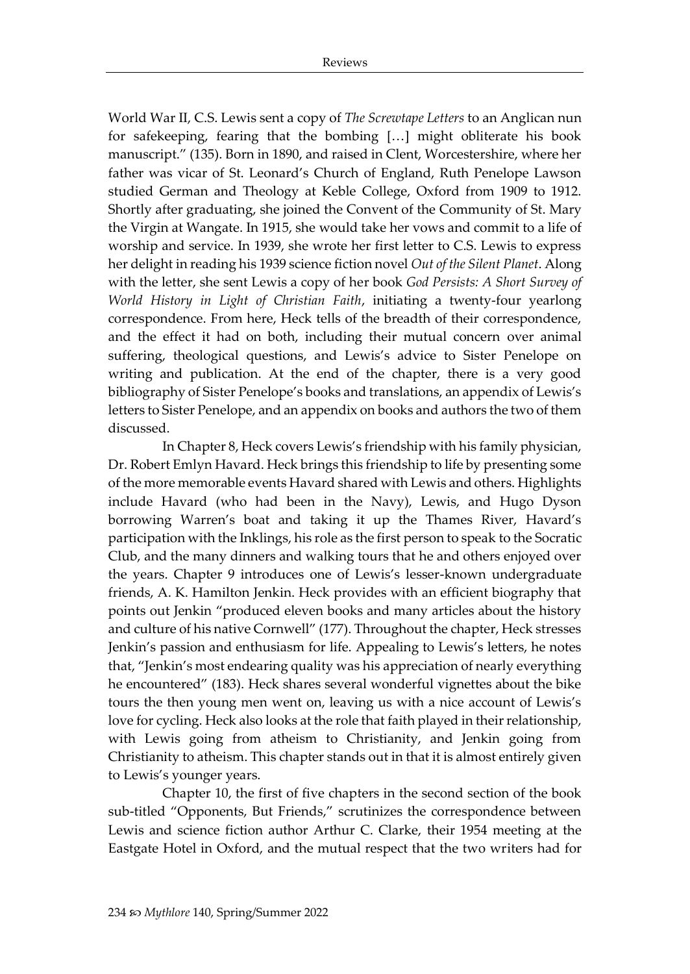World War II, C.S. Lewis sent a copy of *The Screwtape Letters* to an Anglican nun for safekeeping, fearing that the bombing […] might obliterate his book manuscript." (135). Born in 1890, and raised in Clent, Worcestershire, where her father was vicar of St. Leonard's Church of England, Ruth Penelope Lawson studied German and Theology at Keble College, Oxford from 1909 to 1912. Shortly after graduating, she joined the Convent of the Community of St. Mary the Virgin at Wangate. In 1915, she would take her vows and commit to a life of worship and service. In 1939, she wrote her first letter to C.S. Lewis to express her delight in reading his 1939 science fiction novel *Out of the Silent Planet*. Along with the letter, she sent Lewis a copy of her book *God Persists: A Short Survey of World History in Light of Christian Faith*, initiating a twenty-four yearlong correspondence. From here, Heck tells of the breadth of their correspondence, and the effect it had on both, including their mutual concern over animal suffering, theological questions, and Lewis's advice to Sister Penelope on writing and publication. At the end of the chapter, there is a very good bibliography of Sister Penelope's books and translations, an appendix of Lewis's letters to Sister Penelope, and an appendix on books and authors the two of them discussed.

In Chapter 8, Heck covers Lewis's friendship with his family physician, Dr. Robert Emlyn Havard. Heck brings this friendship to life by presenting some of the more memorable events Havard shared with Lewis and others. Highlights include Havard (who had been in the Navy), Lewis, and Hugo Dyson borrowing Warren's boat and taking it up the Thames River, Havard's participation with the Inklings, his role as the first person to speak to the Socratic Club, and the many dinners and walking tours that he and others enjoyed over the years. Chapter 9 introduces one of Lewis's lesser-known undergraduate friends, A. K. Hamilton Jenkin. Heck provides with an efficient biography that points out Jenkin "produced eleven books and many articles about the history and culture of his native Cornwell" (177). Throughout the chapter, Heck stresses Jenkin's passion and enthusiasm for life. Appealing to Lewis's letters, he notes that, "Jenkin's most endearing quality was his appreciation of nearly everything he encountered" (183). Heck shares several wonderful vignettes about the bike tours the then young men went on, leaving us with a nice account of Lewis's love for cycling. Heck also looks at the role that faith played in their relationship, with Lewis going from atheism to Christianity, and Jenkin going from Christianity to atheism. This chapter stands out in that it is almost entirely given to Lewis's younger years.

Chapter 10, the first of five chapters in the second section of the book sub-titled "Opponents, But Friends," scrutinizes the correspondence between Lewis and science fiction author Arthur C. Clarke, their 1954 meeting at the Eastgate Hotel in Oxford, and the mutual respect that the two writers had for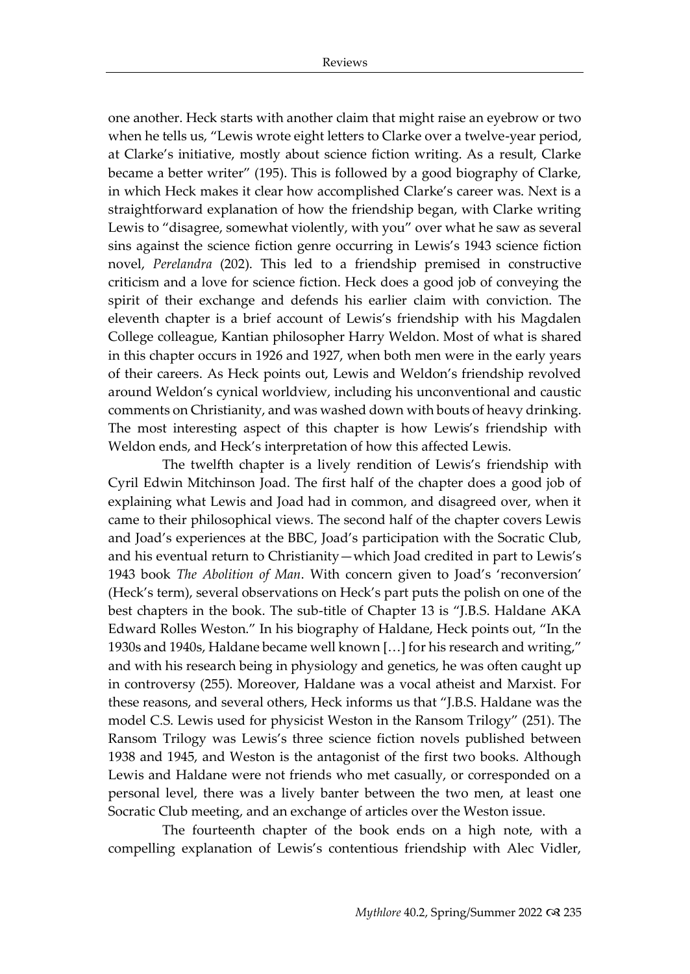one another. Heck starts with another claim that might raise an eyebrow or two when he tells us, "Lewis wrote eight letters to Clarke over a twelve-year period, at Clarke's initiative, mostly about science fiction writing. As a result, Clarke became a better writer" (195). This is followed by a good biography of Clarke, in which Heck makes it clear how accomplished Clarke's career was. Next is a straightforward explanation of how the friendship began, with Clarke writing Lewis to "disagree, somewhat violently, with you" over what he saw as several sins against the science fiction genre occurring in Lewis's 1943 science fiction novel, *Perelandra* (202). This led to a friendship premised in constructive criticism and a love for science fiction. Heck does a good job of conveying the spirit of their exchange and defends his earlier claim with conviction. The eleventh chapter is a brief account of Lewis's friendship with his Magdalen College colleague, Kantian philosopher Harry Weldon. Most of what is shared in this chapter occurs in 1926 and 1927, when both men were in the early years of their careers. As Heck points out, Lewis and Weldon's friendship revolved around Weldon's cynical worldview, including his unconventional and caustic comments on Christianity, and was washed down with bouts of heavy drinking. The most interesting aspect of this chapter is how Lewis's friendship with Weldon ends, and Heck's interpretation of how this affected Lewis.

The twelfth chapter is a lively rendition of Lewis's friendship with Cyril Edwin Mitchinson Joad. The first half of the chapter does a good job of explaining what Lewis and Joad had in common, and disagreed over, when it came to their philosophical views. The second half of the chapter covers Lewis and Joad's experiences at the BBC, Joad's participation with the Socratic Club, and his eventual return to Christianity—which Joad credited in part to Lewis's 1943 book *The Abolition of Man*. With concern given to Joad's 'reconversion' (Heck's term), several observations on Heck's part puts the polish on one of the best chapters in the book. The sub-title of Chapter 13 is "J.B.S. Haldane AKA Edward Rolles Weston." In his biography of Haldane, Heck points out, "In the 1930s and 1940s, Haldane became well known […] for his research and writing," and with his research being in physiology and genetics, he was often caught up in controversy (255). Moreover, Haldane was a vocal atheist and Marxist. For these reasons, and several others, Heck informs us that "J.B.S. Haldane was the model C.S. Lewis used for physicist Weston in the Ransom Trilogy" (251). The Ransom Trilogy was Lewis's three science fiction novels published between 1938 and 1945, and Weston is the antagonist of the first two books. Although Lewis and Haldane were not friends who met casually, or corresponded on a personal level, there was a lively banter between the two men, at least one Socratic Club meeting, and an exchange of articles over the Weston issue.

The fourteenth chapter of the book ends on a high note, with a compelling explanation of Lewis's contentious friendship with Alec Vidler,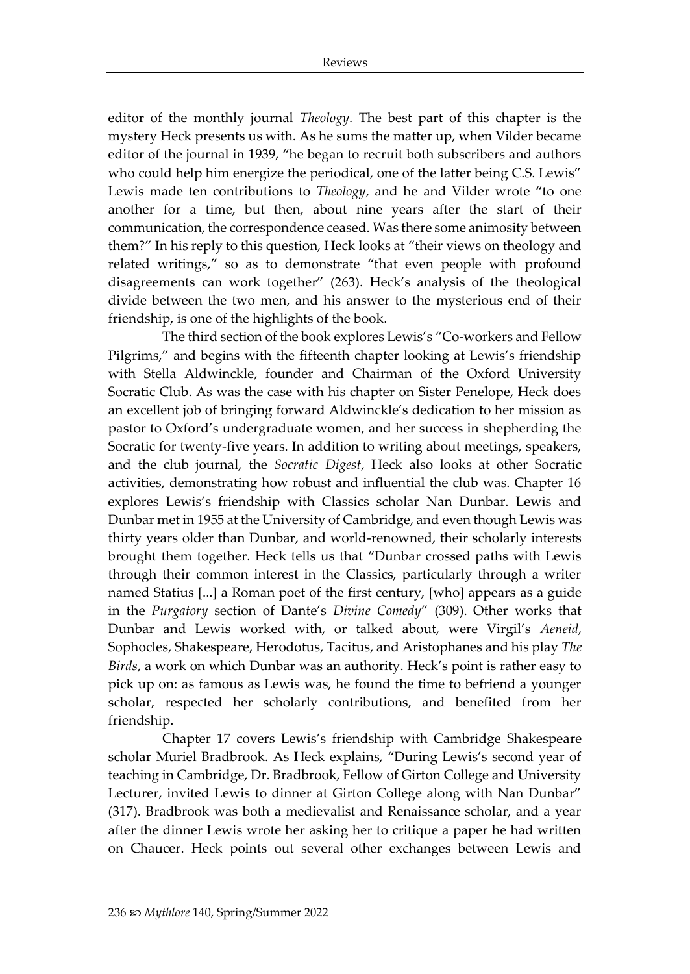editor of the monthly journal *Theology*. The best part of this chapter is the mystery Heck presents us with. As he sums the matter up, when Vilder became editor of the journal in 1939, "he began to recruit both subscribers and authors who could help him energize the periodical, one of the latter being C.S. Lewis" Lewis made ten contributions to *Theology*, and he and Vilder wrote "to one another for a time, but then, about nine years after the start of their communication, the correspondence ceased. Was there some animosity between them?" In his reply to this question, Heck looks at "their views on theology and related writings," so as to demonstrate "that even people with profound disagreements can work together" (263). Heck's analysis of the theological divide between the two men, and his answer to the mysterious end of their friendship, is one of the highlights of the book.

The third section of the book explores Lewis's "Co-workers and Fellow Pilgrims," and begins with the fifteenth chapter looking at Lewis's friendship with Stella Aldwinckle, founder and Chairman of the Oxford University Socratic Club. As was the case with his chapter on Sister Penelope, Heck does an excellent job of bringing forward Aldwinckle's dedication to her mission as pastor to Oxford's undergraduate women, and her success in shepherding the Socratic for twenty-five years. In addition to writing about meetings, speakers, and the club journal, the *Socratic Digest*, Heck also looks at other Socratic activities, demonstrating how robust and influential the club was. Chapter 16 explores Lewis's friendship with Classics scholar Nan Dunbar. Lewis and Dunbar met in 1955 at the University of Cambridge, and even though Lewis was thirty years older than Dunbar, and world-renowned, their scholarly interests brought them together. Heck tells us that "Dunbar crossed paths with Lewis through their common interest in the Classics, particularly through a writer named Statius [...] a Roman poet of the first century, [who] appears as a guide in the *Purgatory* section of Dante's *Divine Comedy*" (309). Other works that Dunbar and Lewis worked with, or talked about, were Virgil's *Aeneid*, Sophocles, Shakespeare, Herodotus, Tacitus, and Aristophanes and his play *The Birds*, a work on which Dunbar was an authority. Heck's point is rather easy to pick up on: as famous as Lewis was, he found the time to befriend a younger scholar, respected her scholarly contributions, and benefited from her friendship.

Chapter 17 covers Lewis's friendship with Cambridge Shakespeare scholar Muriel Bradbrook. As Heck explains, "During Lewis's second year of teaching in Cambridge, Dr. Bradbrook, Fellow of Girton College and University Lecturer, invited Lewis to dinner at Girton College along with Nan Dunbar" (317). Bradbrook was both a medievalist and Renaissance scholar, and a year after the dinner Lewis wrote her asking her to critique a paper he had written on Chaucer. Heck points out several other exchanges between Lewis and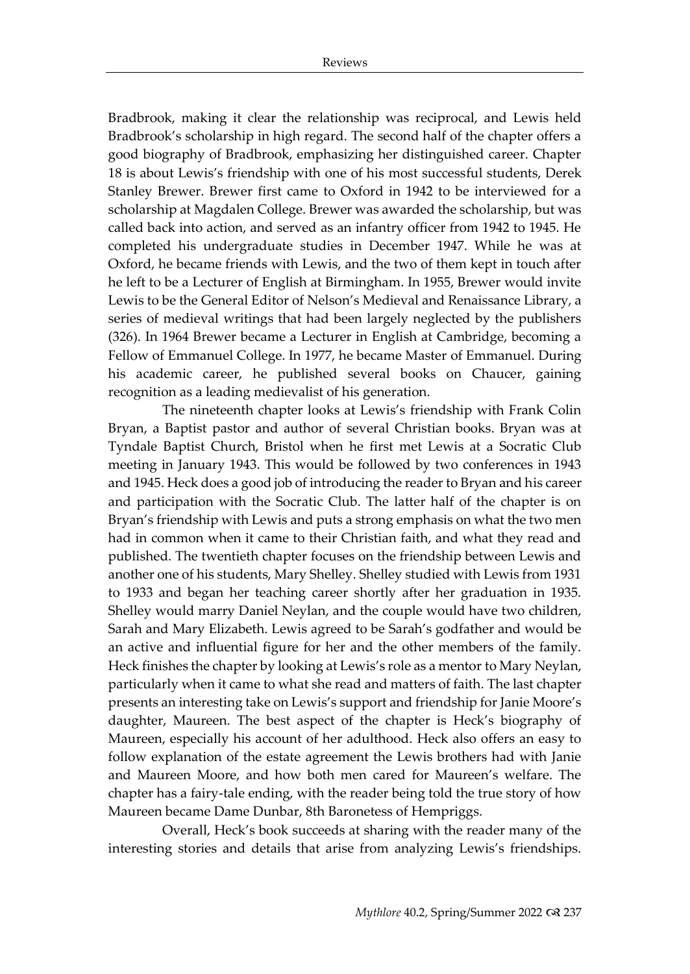Bradbrook, making it clear the relationship was reciprocal, and Lewis held Bradbrook's scholarship in high regard. The second half of the chapter offers a good biography of Bradbrook, emphasizing her distinguished career. Chapter 18 is about Lewis's friendship with one of his most successful students, Derek Stanley Brewer. Brewer first came to Oxford in 1942 to be interviewed for a scholarship at Magdalen College. Brewer was awarded the scholarship, but was called back into action, and served as an infantry officer from 1942 to 1945. He completed his undergraduate studies in December 1947. While he was at Oxford, he became friends with Lewis, and the two of them kept in touch after he left to be a Lecturer of English at Birmingham. In 1955, Brewer would invite Lewis to be the General Editor of Nelson's Medieval and Renaissance Library, a series of medieval writings that had been largely neglected by the publishers (326). In 1964 Brewer became a Lecturer in English at Cambridge, becoming a Fellow of Emmanuel College. In 1977, he became Master of Emmanuel. During his academic career, he published several books on Chaucer, gaining recognition as a leading medievalist of his generation.

The nineteenth chapter looks at Lewis's friendship with Frank Colin Bryan, a Baptist pastor and author of several Christian books. Bryan was at Tyndale Baptist Church, Bristol when he first met Lewis at a Socratic Club meeting in January 1943. This would be followed by two conferences in 1943 and 1945. Heck does a good job of introducing the reader to Bryan and his career and participation with the Socratic Club. The latter half of the chapter is on Bryan's friendship with Lewis and puts a strong emphasis on what the two men had in common when it came to their Christian faith, and what they read and published. The twentieth chapter focuses on the friendship between Lewis and another one of his students, Mary Shelley. Shelley studied with Lewis from 1931 to 1933 and began her teaching career shortly after her graduation in 1935. Shelley would marry Daniel Neylan, and the couple would have two children, Sarah and Mary Elizabeth. Lewis agreed to be Sarah's godfather and would be an active and influential figure for her and the other members of the family. Heck finishes the chapter by looking at Lewis's role as a mentor to Mary Neylan, particularly when it came to what she read and matters of faith. The last chapter presents an interesting take on Lewis's support and friendship for Janie Moore's daughter, Maureen. The best aspect of the chapter is Heck's biography of Maureen, especially his account of her adulthood. Heck also offers an easy to follow explanation of the estate agreement the Lewis brothers had with Janie and Maureen Moore, and how both men cared for Maureen's welfare. The chapter has a fairy-tale ending, with the reader being told the true story of how Maureen became Dame Dunbar, 8th Baronetess of Hempriggs.

Overall, Heck's book succeeds at sharing with the reader many of the interesting stories and details that arise from analyzing Lewis's friendships.